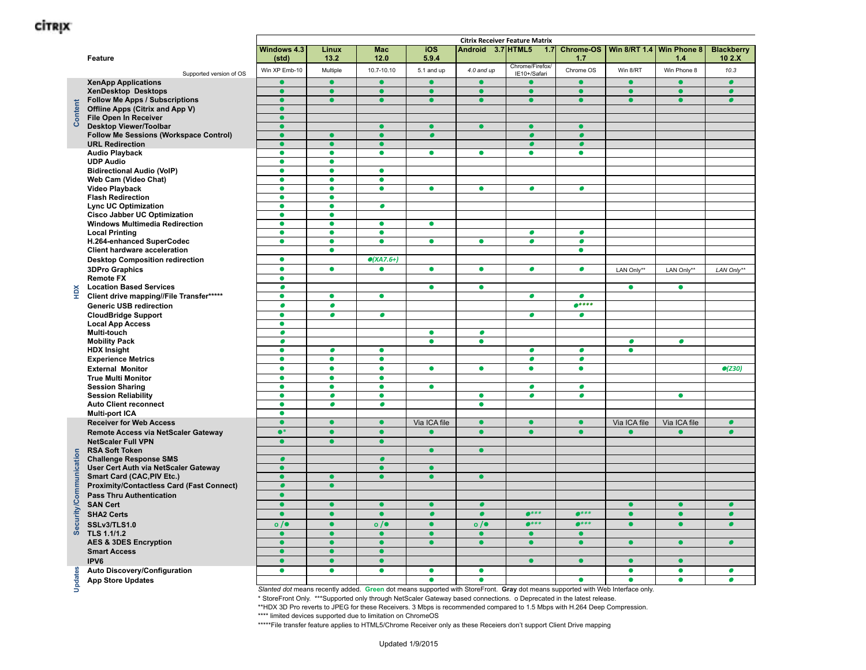## **CİTRIX**

|                        |                                                  |                                                                                                                                |           |                    |              |                   | <b>Citrix Receiver Feature Matrix</b> |           |              |                            |                   |
|------------------------|--------------------------------------------------|--------------------------------------------------------------------------------------------------------------------------------|-----------|--------------------|--------------|-------------------|---------------------------------------|-----------|--------------|----------------------------|-------------------|
|                        |                                                  | <b>Windows 4.3</b>                                                                                                             | Linux     | <b>Mac</b>         | <b>iOS</b>   | Android 3.7 HTML5 | 1.7                                   | Chrome-OS |              | Win 8/RT 1.4   Win Phone 8 | <b>Blackberry</b> |
|                        | Feature                                          | (std)                                                                                                                          | 13.2      | 12.0               | 5.9.4        |                   |                                       | 1.7       |              | 1.4                        | 102.X             |
|                        | Supported version of OS                          | Win XP Emb-10                                                                                                                  | Multiple  | 10.7-10.10         | 5.1 and up   | 4.0 and up        | Chrome/Firefox/<br>IE10+/Safari       | Chrome OS | Win 8/RT     | Win Phone 8                | 10.3              |
|                        | <b>XenApp Applications</b>                       | $\bullet$                                                                                                                      | $\bullet$ | $\bullet$          | $\bullet$    | $\bullet$         | $\bullet$                             | $\bullet$ | $\bullet$    | $\bullet$                  | $\bullet$         |
|                        | <b>XenDesktop Desktops</b>                       | $\bullet$                                                                                                                      | $\bullet$ | $\bullet$          | $\bullet$    | $\bullet$         | $\bullet$                             | $\bullet$ | $\bullet$    | $\bullet$                  | $\bullet$         |
|                        | <b>Follow Me Apps / Subscriptions</b>            | $\bullet$                                                                                                                      | $\bullet$ | $\bullet$          | $\bullet$    | $\bullet$         | $\bullet$                             | $\bullet$ | $\bullet$    | $\bullet$                  | $\bullet$         |
| Content                | <b>Offline Apps (Citrix and App V)</b>           | $\bullet$                                                                                                                      |           |                    |              |                   |                                       |           |              |                            |                   |
|                        | <b>File Open In Receiver</b>                     | $\bullet$                                                                                                                      |           |                    |              |                   |                                       |           |              |                            |                   |
|                        | <b>Desktop Viewer/Toolbar</b>                    | $\bullet$                                                                                                                      |           | $\bullet$          | $\bullet$    | $\bullet$         | $\bullet$                             | $\bullet$ |              |                            |                   |
|                        | <b>Follow Me Sessions (Workspace Control)</b>    | $\bullet$                                                                                                                      | $\bullet$ | $\bullet$          | $\bullet$    |                   | $\bullet$                             | $\bullet$ |              |                            |                   |
|                        | <b>URL Redirection</b>                           | $\bullet$                                                                                                                      | $\bullet$ | $\bullet$          |              |                   | $\bullet$                             | $\bullet$ |              |                            |                   |
|                        | <b>Audio Playback</b>                            | $\bullet$                                                                                                                      | $\bullet$ | $\bullet$          | $\bullet$    | $\bullet$         | $\bullet$                             | $\bullet$ |              |                            |                   |
|                        | <b>UDP Audio</b>                                 | $\bullet$                                                                                                                      | $\bullet$ |                    |              |                   |                                       |           |              |                            |                   |
|                        | <b>Bidirectional Audio (VoIP)</b>                | $\bullet$                                                                                                                      | $\bullet$ | $\bullet$          |              |                   |                                       |           |              |                            |                   |
|                        | Web Cam (Video Chat)                             | ۰                                                                                                                              | $\bullet$ | $\bullet$          |              |                   |                                       |           |              |                            |                   |
|                        | Video Playback                                   | $\bullet$                                                                                                                      | $\bullet$ | $\bullet$          | $\bullet$    | $\bullet$         | $\bullet$                             | $\bullet$ |              |                            |                   |
|                        | <b>Flash Redirection</b>                         | ۰                                                                                                                              | $\bullet$ |                    |              |                   |                                       |           |              |                            |                   |
|                        | <b>Lync UC Optimization</b>                      | $\bullet$                                                                                                                      | $\bullet$ | $\bullet$          |              |                   |                                       |           |              |                            |                   |
|                        | <b>Cisco Jabber UC Optimization</b>              | ۰                                                                                                                              | $\bullet$ |                    |              |                   |                                       |           |              |                            |                   |
|                        | <b>Windows Multimedia Redirection</b>            | $\bullet$                                                                                                                      | $\bullet$ | $\bullet$          | $\bullet$    |                   |                                       |           |              |                            |                   |
|                        | <b>Local Printing</b>                            | $\bullet$                                                                                                                      | $\bullet$ | $\bullet$          |              |                   | $\bullet$                             | 0         |              |                            |                   |
|                        | H.264-enhanced SuperCodec                        | $\bullet$                                                                                                                      | $\bullet$ | $\bullet$          | $\bullet$    | ٠                 | $\bullet$                             | Ō         |              |                            |                   |
|                        | Client hardware acceleration                     |                                                                                                                                | $\bullet$ |                    |              |                   |                                       | $\bullet$ |              |                            |                   |
|                        | <b>Desktop Composition redirection</b>           | $\bullet$                                                                                                                      |           | $\bullet$ (XA7.6+) |              |                   |                                       |           |              |                            |                   |
|                        | <b>3DPro Graphics</b>                            | $\bullet$                                                                                                                      | $\bullet$ | ۰                  | $\bullet$    | ٠                 | ۰                                     | $\bullet$ | LAN Only**   | LAN Only**                 | LAN Only**        |
|                        | <b>Remote FX</b>                                 | $\bullet$                                                                                                                      |           |                    |              |                   |                                       |           |              |                            |                   |
|                        | <b>Location Based Services</b>                   | $\bullet$                                                                                                                      |           |                    | $\bullet$    | $\bullet$         |                                       |           | $\bullet$    | $\bullet$                  |                   |
| ŘЯ                     | Client drive mapping//File Transfer*****         | $\bullet$                                                                                                                      | $\bullet$ | $\bullet$          |              |                   | $\bullet$                             | $\bullet$ |              |                            |                   |
|                        | <b>Generic USB redirection</b>                   | $\bullet$                                                                                                                      | $\bullet$ |                    |              |                   |                                       | $e***$    |              |                            |                   |
|                        | <b>CloudBridge Support</b>                       | $\bullet$                                                                                                                      | $\bullet$ | $\bullet$          |              |                   | $\bullet$                             | 0         |              |                            |                   |
|                        | <b>Local App Access</b>                          | ۰                                                                                                                              |           |                    |              |                   |                                       |           |              |                            |                   |
|                        | Multi-touch                                      | $\bullet$                                                                                                                      |           |                    | $\bullet$    | $\bullet$         |                                       |           |              |                            |                   |
|                        | <b>Mobility Pack</b>                             | ۰                                                                                                                              |           |                    | $\bullet$    | $\bullet$         |                                       |           | ۰            | ۰                          |                   |
|                        | <b>HDX Insight</b>                               | $\bullet$                                                                                                                      | $\bullet$ | $\bullet$          |              |                   | $\bullet$                             | $\bullet$ | $\bullet$    |                            |                   |
|                        | <b>Experience Metrics</b>                        | ۰                                                                                                                              | $\bullet$ | $\bullet$          |              |                   | ۰                                     | $\bullet$ |              |                            |                   |
|                        | <b>External Monitor</b>                          | $\bullet$                                                                                                                      | $\bullet$ | $\bullet$          | $\bullet$    | $\bullet$         | $\bullet$                             | $\bullet$ |              |                            | O(Z30)            |
|                        | <b>True Multi Monitor</b>                        | $\bullet$                                                                                                                      | $\bullet$ | $\bullet$          |              |                   |                                       |           |              |                            |                   |
|                        | <b>Session Sharing</b>                           | ۰                                                                                                                              | $\bullet$ | $\bullet$          | $\bullet$    |                   | $\bullet$                             | $\bullet$ |              |                            |                   |
|                        | <b>Session Reliability</b>                       | ۰                                                                                                                              | $\bullet$ | $\bullet$          |              | ٠                 | $\bullet$                             | $\bullet$ |              | ۰                          |                   |
|                        | <b>Auto Client reconnect</b>                     | $\bullet$                                                                                                                      | $\bullet$ | $\bullet$          |              | $\bullet$         |                                       |           |              |                            |                   |
|                        | <b>Multi-port ICA</b>                            | $\bullet$                                                                                                                      |           |                    |              |                   |                                       |           |              |                            |                   |
|                        | <b>Receiver for Web Access</b>                   | $\bullet$                                                                                                                      | $\bullet$ | $\bullet$          | Via ICA file | $\bullet$         | $\bullet$                             | $\bullet$ | Via ICA file | Via ICA file               | $\bullet$         |
|                        | Remote Access via NetScaler Gateway              | $\bullet^*$                                                                                                                    | $\bullet$ | $\bullet$          | $\bullet$    | $\bullet$         | $\bullet$                             | $\bullet$ | $\bullet$    | $\bullet$                  | $\bullet$         |
|                        | <b>NetScaler Full VPN</b>                        | $\bullet$                                                                                                                      | $\bullet$ | $\bullet$          |              |                   |                                       |           |              |                            |                   |
|                        | <b>RSA Soft Token</b>                            |                                                                                                                                |           |                    | $\bullet$    | $\bullet$         |                                       |           |              |                            |                   |
|                        | <b>Challenge Response SMS</b>                    | $\bullet$                                                                                                                      |           | $\bullet$          |              |                   |                                       |           |              |                            |                   |
|                        | User Cert Auth via NetScaler Gateway             | $\bullet$                                                                                                                      |           | $\bullet$          | $\bullet$    |                   |                                       |           |              |                            |                   |
|                        | Smart Card (CAC, PIV Etc.)                       | $\bullet$                                                                                                                      | $\bullet$ | $\bullet$          | $\bullet$    | $\bullet$         |                                       |           |              |                            |                   |
|                        | <b>Proximity/Contactless Card (Fast Connect)</b> | $\bullet$                                                                                                                      | $\bullet$ |                    |              |                   |                                       |           |              |                            |                   |
|                        | <b>Pass Thru Authentication</b>                  | $\bullet$                                                                                                                      |           |                    |              |                   |                                       |           |              |                            |                   |
|                        | <b>SAN Cert</b>                                  | $\bullet$                                                                                                                      | $\bullet$ | $\bullet$          | $\bullet$    | $\bullet$         |                                       |           | $\bullet$    | $\bullet$                  | $\bullet$         |
|                        |                                                  | $\bullet$                                                                                                                      | $\bullet$ | $\bullet$          | $\bullet$    | $\bullet$         | $e***$                                | $e***$    | $\bullet$    | $\bullet$                  | $\bullet$         |
| Security/Communication | <b>SHA2 Certs</b>                                |                                                                                                                                |           |                    |              |                   | $e***$                                | $e***$    | $\bullet$    |                            |                   |
|                        | SSLv3/TLS1.0                                     | o/                                                                                                                             | $\bullet$ | o/•                | $\bullet$    | o/                |                                       |           |              | $\bullet$                  | $\bullet$         |
|                        | TLS 1.1/1.2                                      | $\bullet$                                                                                                                      | $\bullet$ | $\bullet$          | $\bullet$    | $\bullet$         | $\bullet$                             | $\bullet$ |              |                            |                   |
|                        | <b>AES &amp; 3DES Encryption</b>                 | $\bullet$                                                                                                                      | $\bullet$ | $\bullet$          | $\bullet$    | $\bullet$         | $\bullet$                             | $\bullet$ | $\bullet$    | $\bullet$                  | $\bullet$         |
|                        | <b>Smart Access</b>                              | $\bullet$                                                                                                                      | $\bullet$ | $\bullet$          |              |                   |                                       |           |              |                            |                   |
|                        | IPV6                                             | $\bullet$                                                                                                                      | $\bullet$ | $\bullet$          |              |                   | $\bullet$                             | $\bullet$ | $\bullet$    | $\bullet$                  |                   |
|                        | Auto Discovery/Configuration                     | $\bullet$                                                                                                                      | $\bullet$ | $\bullet$          | $\bullet$    | $\bullet$         |                                       |           | $\bullet$    | $\bullet$                  | $\bullet$         |
| Updates                | <b>App Store Updates</b>                         |                                                                                                                                |           |                    | $\bullet$    | $\bullet$         |                                       | $\bullet$ | ۰            | $\bullet$                  | ۰                 |
|                        |                                                  | Slanted dot means recently added. Green dot means supported with StoreFront. Gray dot means supported with Web Interface only. |           |                    |              |                   |                                       |           |              |                            |                   |
|                        |                                                  | * StoreFront Only. ***Supported only through NetScaler Gateway based connections. o Deprecated in the latest release           |           |                    |              |                   |                                       |           |              |                            |                   |

\*\*HDX 3D Pro reverts to JPEG for these Receivers. 3 Mbps is recommended compared to 1.5 Mbps with H.264 Deep Compression.

\*\*\*\* limited devices supported due to limitation on ChromeOS

\*\*\*\*\*File transfer feature applies to HTML5/Chrome Receiver only as these Receiers don't support Client Drive mapping